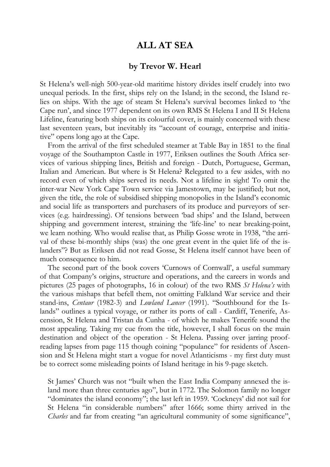## **ALL AT SEA**

## **by Trevor W. Hearl**

St Helena's well-nigh 500-year-old maritime history divides itself crudely into two unequal periods. In the first, ships rely on the Island; in the second, the Island relies on ships. With the age of steam St Helena's survival becomes linked to 'the Cape run', and since 1977 dependent on its own RMS St Helena I and II St Helena Lifeline, featuring both ships on its colourful cover, is mainly concerned with these last seventeen years, but inevitably its "account of courage, enterprise and initiative" opens long ago at the Cape.

From the arrival of the first scheduled steamer at Table Bay in 1851 to the final voyage of the Southampton Castle in 1977, Eriksen outlines the South Africa services of various shipping lines, British and foreign - Dutch, Portuguese, German, Italian and American. But where is St Helena? Relegated to a few asides, with no record even of which ships served its needs. Not a lifeline in sight! To omit the inter-war New York Cape Town service via Jamestown, may be justified; but not, given the title, the role of subsidised shipping monopolies in the Island's economic and social life as transporters and purchasers of its produce and purveyors of services (e.g. hairdressing). Of tensions between 'bad ships' and the Island, between shipping and government interest, straining the 'life-line' to near breaking-point, we learn nothing. Who would realise that, as Philip Gosse wrote in 1938, "the arrival of these bi-monthly ships (was) the one great event in the quiet life of the islanders"? But as Eriksen did not read Gosse, St Helena itself cannot have been of much consequence to him.

The second part of the book covers 'Curnows of Cornwall', a useful summary of that Company's origins, structure and operations, and the careers in words and pictures (25 pages of photographs, 16 in colour) of the two RMS *St Helena's* with the various mishaps that befell them, not omitting Falkland War service and their stand-ins, *Centaur* (1982-3) and *Lowland Lancer* (1991). "Southbound for the Islands" outlines a typical voyage, or rather its ports of call - Cardiff, Tenerife, Ascension, St Helena and Tristan da Cunha - of which he makes Tenerife sound the most appealing. Taking my cue from the title, however, I shall focus on the main destination and object of the operation - St Helena. Passing over jarring proofreading lapses from page 115 though coining "populance" for residents of Ascension and St Helena might start a vogue for novel Atlanticisms - my first duty must be to correct some misleading points of Island heritage in his 9-page sketch.

St James' Church was not "built when the East India Company annexed the island more than three centuries ago", but in 1772. The Solomon family no longer "dominates the island economy"; the last left in 1959. 'Cockneys' did not sail for St Helena "in considerable numbers" after 1666; some thirty arrived in the *Charles* and far from creating "an agricultural community of some significance",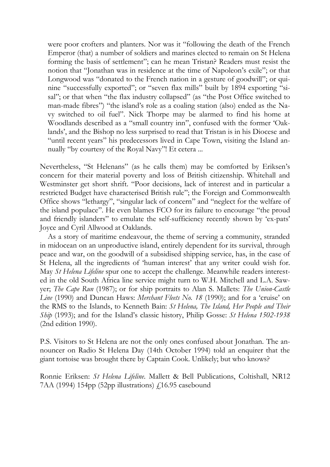were poor crofters and planters. Nor was it "following the death of the French Emperor (that) a number of soldiers and marines elected to remain on St Helena forming the basis of settlement"; can he mean Tristan? Readers must resist the notion that "Jonathan was in residence at the time of Napoleon's exile"; or that Longwood was "donated to the French nation in a gesture of goodwill"; or quinine "successfully exported"; or "seven flax mills" built by 1894 exporting "sisal"; or that when "the flax industry collapsed" (as "the Post Office switched to man-made fibres") "the island's role as a coaling station (also) ended as the Navy switched to oil fuel". Nick Thorpe may be alarmed to find his home at Woodlands described as a "small country inn", confused with the former 'Oaklands', and the Bishop no less surprised to read that Tristan is in his Diocese and "until recent years" his predecessors lived in Cape Town, visiting the Island annually "by courtesy of the Royal Navy"! Et cetera ...

Nevertheless, "St Helenans" (as he calls them) may be comforted by Eriksen's concern for their material poverty and loss of British citizenship. Whitehall and Westminster get short shrift. "Poor decisions, lack of interest and in particular a restricted Budget have characterised British rule"; the Foreign and Commonwealth Office shows "lethargy", "singular lack of concern" and "neglect for the welfare of the island populace". He even blames FCO for its failure to encourage "the proud and friendly islanders" to emulate the self-sufficiency recently shown by 'ex-pats' Joyce and Cyril Allwood at Oaklands.

As a story of maritime endeavour, the theme of serving a community, stranded in midocean on an unproductive island, entirely dependent for its survival, through peace and war, on the goodwill of a subsidised shipping service, has, in the case of St Helena, all the ingredients of 'human interest' that any writer could wish for. May *St Helena Lifeline* spur one to accept the challenge. Meanwhile readers interested in the old South Africa line service might turn to W.H. Mitchell and L.A. Sawyer; *The Cape Run* (1987); or for ship portraits to Alan S. Mallets: *The Union-Castle Line* (1990) and Duncan Haws: *Merchant Fleets No. 18* (1990); and for a 'cruise' on the RMS to the Islands, to Kenneth Bain: *St Helena, The Island, Her People and Their Ship* (1993); and for the Island's classic history, Philip Gosse: *St Helena 1502-1938* (2nd edition 1990).

P.S. Visitors to St Helena are not the only ones confused about Jonathan. The announcer on Radio St Helena Day (14th October 1994) told an enquirer that the giant tortoise was brought there by Captain Cook. Unlikely; but who knows?

Ronnie Eriksen: *St Helena Lifeline*. Mallett & Bell Publications, Coltishall, NR12 7AA (1994) 154pp (52pp illustrations)  $f$ 16.95 casebound